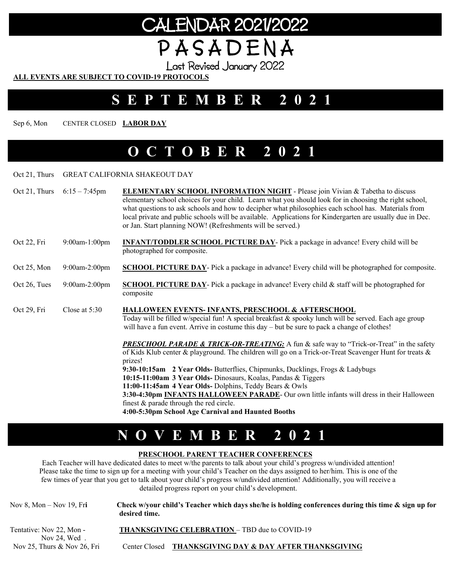# CALENDAR 2021/2022 P A S A D E N A

Last Revised January 2022

#### **ALL EVENTS ARE SUBJECT TO COVID-19 PROTOCOLS**

### **SEPTEMBER 2021**

Sep 6, Mon CENTER CLOSED **LABOR DAY** 

### **OCTOBER 2021**

#### Oct 21, Thurs GREAT CALIFORNIA SHAKEOUT DAY

|              | Oct 21, Thurs $6:15 - 7:45$ pm | <b>ELEMENTARY SCHOOL INFORMATION NIGHT</b> - Please join Vivian & Tabetha to discuss<br>elementary school choices for your child. Learn what you should look for in choosing the right school,<br>what questions to ask schools and how to decipher what philosophies each school has. Materials from<br>local private and public schools will be available. Applications for Kindergarten are usually due in Dec.<br>or Jan. Start planning NOW! (Refreshments will be served.)                                                                                                                                                     |
|--------------|--------------------------------|--------------------------------------------------------------------------------------------------------------------------------------------------------------------------------------------------------------------------------------------------------------------------------------------------------------------------------------------------------------------------------------------------------------------------------------------------------------------------------------------------------------------------------------------------------------------------------------------------------------------------------------|
| Oct 22, Fri  | $9:00$ am-1:00pm               | <b>INFANT/TODDLER SCHOOL PICTURE DAY-</b> Pick a package in advance! Every child will be<br>photographed for composite.                                                                                                                                                                                                                                                                                                                                                                                                                                                                                                              |
| Oct 25, Mon  | $9:00$ am-2:00pm               | <b>SCHOOL PICTURE DAY-</b> Pick a package in advance! Every child will be photographed for composite.                                                                                                                                                                                                                                                                                                                                                                                                                                                                                                                                |
| Oct 26, Tues | $9:00$ am-2:00pm               | <b>SCHOOL PICTURE DAY-</b> Pick a package in advance! Every child $\&$ staff will be photographed for<br>composite                                                                                                                                                                                                                                                                                                                                                                                                                                                                                                                   |
| Oct 29, Fri  | Close at $5:30$                | <b>HALLOWEEN EVENTS-INFANTS, PRESCHOOL &amp; AFTERSCHOOL</b><br>Today will be filled w/special fun! A special breakfast & spooky lunch will be served. Each age group<br>will have a fun event. Arrive in costume this day – but be sure to pack a change of clothes!                                                                                                                                                                                                                                                                                                                                                                |
|              |                                | <b>PRESCHOOL PARADE &amp; TRICK-OR-TREATING:</b> A fun & safe way to "Trick-or-Treat" in the safety<br>of Kids Klub center & playground. The children will go on a Trick-or-Treat Scavenger Hunt for treats &<br>prizes!<br>9:30-10:15am 2 Year Olds- Butterflies, Chipmunks, Ducklings, Frogs & Ladybugs<br>10:15-11:00am 3 Year Olds- Dinosaurs, Koalas, Pandas & Tiggers<br>11:00-11:45am 4 Year Olds-Dolphins, Teddy Bears & Owls<br>3:30-4:30pm INFANTS HALLOWEEN PARADE- Our own little infants will dress in their Halloween<br>finest & parade through the red circle.<br>4:00-5:30pm School Age Carnival and Haunted Booths |

## **NOVEMBER 2021**

#### **PRESCHOOL PARENT TEACHER CONFERENCES**

Each Teacher will have dedicated dates to meet w/the parents to talk about your child's progress w/undivided attention! Please take the time to sign up for a meeting with your child's Teacher on the days assigned to her/him. This is one of the few times of year that you get to talk about your child's progress w/undivided attention! Additionally, you will receive a detailed progress report on your child's development.

| Nov 8, Mon – Nov 19, Fri                   | Check w/your child's Teacher which days she/he is holding conferences during this time $\&$ sign up for<br>desired time. |
|--------------------------------------------|--------------------------------------------------------------------------------------------------------------------------|
| Tentative: Nov 22, Mon -<br>Nov $24.$ Wed. | <b>THANKSGIVING CELEBRATION – TBD due to COVID-19</b>                                                                    |

Nov 25, Thurs & Nov 26, Fri Center Closed **THANKSGIVING DAY & DAY AFTER THANKSGIVING**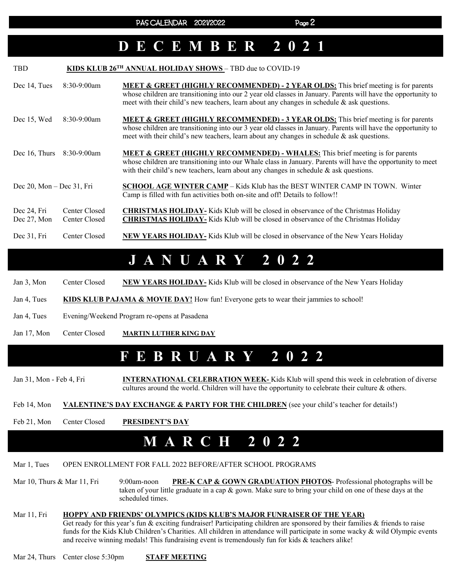### **DECEMBER 2021**

| <b>TBD</b>                      |                                | KIDS KLUB 26 <sup>TH</sup> ANNUAL HOLIDAY SHOWS - TBD due to COVID-19                                                                                                                                                                                                                                           |
|---------------------------------|--------------------------------|-----------------------------------------------------------------------------------------------------------------------------------------------------------------------------------------------------------------------------------------------------------------------------------------------------------------|
| Dec 14, Tues                    | $8:30-9:00am$                  | <b>MEET &amp; GREET (HIGHLY RECOMMENDED) - 2 YEAR OLDS:</b> This brief meeting is for parents<br>whose children are transitioning into our 2 year old classes in January. Parents will have the opportunity to<br>meet with their child's new teachers, learn about any changes in schedule $\&$ ask questions. |
| Dec 15, Wed                     | $8:30-9:00am$                  | <b>MEET &amp; GREET (HIGHLY RECOMMENDED) - 3 YEAR OLDS:</b> This brief meeting is for parents<br>whose children are transitioning into our 3 year old classes in January. Parents will have the opportunity to<br>meet with their child's new teachers, learn about any changes in schedule & ask questions.    |
| Dec 16, Thurs                   | 8:30-9:00am                    | <b>MEET &amp; GREET (HIGHLY RECOMMENDED) - WHALES:</b> This brief meeting is for parents<br>whose children are transitioning into our Whale class in January. Parents will have the opportunity to meet<br>with their child's new teachers, learn about any changes in schedule $\&$ ask questions.             |
| Dec $20$ , Mon – Dec $31$ , Fri |                                | <b>SCHOOL AGE WINTER CAMP</b> – Kids Klub has the BEST WINTER CAMP IN TOWN. Winter<br>Camp is filled with fun activities both on-site and off! Details to follow!!                                                                                                                                              |
| Dec 24, Fri<br>Dec 27, Mon      | Center Closed<br>Center Closed | <b>CHRISTMAS HOLIDAY-</b> Kids Klub will be closed in observance of the Christmas Holiday<br><b>CHRISTMAS HOLIDAY-</b> Kids Klub will be closed in observance of the Christmas Holiday                                                                                                                          |
| Dec 31, Fri                     | Center Closed                  | <b>NEW YEARS HOLIDAY-</b> Kids Klub will be closed in observance of the New Years Holiday                                                                                                                                                                                                                       |

### **JANUARY 2022**

Jan 3, Mon Center Closed **NEW YEARS HOLIDAY-** Kids Klub will be closed in observance of the New Years Holiday

Jan 4, Tues **KIDS KLUB PAJAMA & MOVIE DAY!** How fun! Everyone gets to wear their jammies to school!

Jan 4, Tues Evening/Weekend Program re-opens at Pasadena

Jan 17, Mon Center Closed **MARTIN LUTHER KING DAY** 

### **FEBRUARY 2022**

Jan 31, Mon - Feb 4, Fri **INTERNATIONAL CELEBRATION WEEK-** Kids Klub will spend this week in celebration of diverse cultures around the world. Children will have the opportunity to celebrate their culture & others.

Feb 14, Mon **VALENTINE'S DAY EXCHANGE & PARTY FOR THE CHILDREN** (see your child's teacher for details!)

Feb 21, Mon Center Closed **PRESIDENT'S DAY** 

### **MARCH 2022**

#### Mar 1, Tues OPEN ENROLLMENT FOR FALL 2022 BEFORE/AFTER SCHOOL PROGRAMS

Mar 10, Thurs & Mar 11, Fri 9:00am-noon **PRE-K CAP & GOWN GRADUATION PHOTOS**- Professional photographs will be taken of your little graduate in a cap & gown. Make sure to bring your child on one of these days at the scheduled times.

#### Mar 11, Fri **HOPPY AND FRIENDS' OLYMPICS (KIDS KLUB'S MAJOR FUNRAISER OF THE YEAR)**

Get ready for this year's fun & exciting fundraiser! Participating children are sponsored by their families & friends to raise funds for the Kids Klub Children's Charities. All children in attendance will participate in some wacky & wild Olympic events and receive winning medals! This fundraising event is tremendously fun for kids & teachers alike!

Mar 24, Thurs Center close 5:30pm **STAFF MEETING**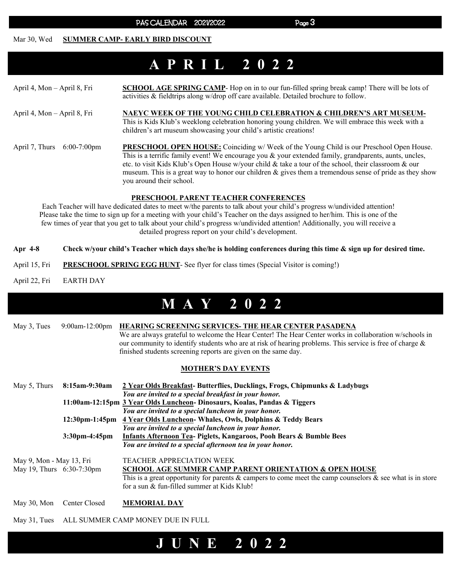PAS CALENDAR 2021/2022 Page 3

#### Mar 30, Wed **SUMMER CAMP- EARLY BIRD DISCOUNT**

## **APRIL 2022**

April 4, Mon – April 8, Fri **SCHOOL AGE SPRING CAMP**- Hop on in to our fun-filled spring break camp! There will be lots of activities & fieldtrips along w/drop off care available. Detailed brochure to follow. April 4, Mon – April 8, Fri **NAEYC WEEK OF THE YOUNG CHILD CELEBRATION & CHILDREN'S ART MUSEUM-**This is Kids Klub's weeklong celebration honoring young children. We will embrace this week with a children's art museum showcasing your child's artistic creations! April 7, Thurs 6:00-7:00pm **PRESCHOOL OPEN HOUSE:** Coinciding w/ Week of the Young Child is our Preschool Open House. This is a terrific family event! We encourage you & your extended family, grandparents, aunts, uncles,

etc. to visit Kids Klub's Open House w/your child & take a tour of the school, their classroom & our museum. This is a great way to honor our children  $\&$  gives them a tremendous sense of pride as they show you around their school.

#### **PRESCHOOL PARENT TEACHER CONFERENCES**

Each Teacher will have dedicated dates to meet w/the parents to talk about your child's progress w/undivided attention! Please take the time to sign up for a meeting with your child's Teacher on the days assigned to her/him. This is one of the few times of year that you get to talk about your child's progress w/undivided attention! Additionally, you will receive a detailed progress report on your child's development.

- **Apr 4-8 Check w/your child's Teacher which days she/he is holding conferences during this time & sign up for desired time.**
- April 15, Fri **PRESCHOOL SPRING EGG HUNT** See flyer for class times (Special Visitor is coming!)
- April 22, Fri EARTH DAY

### **MAY 2022**

May 3, Tues 9:00am-12:00pm **HEARING SCREENING SERVICES- THE HEAR CENTER PASADENA** We are always grateful to welcome the Hear Center! The Hear Center works in collaboration w/schools in our community to identify students who are at risk of hearing problems. This service is free of charge & finished students screening reports are given on the same day.

#### **MOTHER'S DAY EVENTS**

| May 5, Thurs                                          | 8:15am-9:30am    | 2 Year Olds Breakfast-Butterflies, Ducklings, Frogs, Chipmunks & Ladybugs<br>You are invited to a special breakfast in your honor.                                                                                                                                   |
|-------------------------------------------------------|------------------|----------------------------------------------------------------------------------------------------------------------------------------------------------------------------------------------------------------------------------------------------------------------|
|                                                       |                  | 11:00am-12:15pm 3 Year Olds Luncheon- Dinosaurs, Koalas, Pandas & Tiggers                                                                                                                                                                                            |
|                                                       |                  | You are invited to a special luncheon in your honor.<br>12:30pm-1:45pm 4 Year Olds Luncheon- Whales, Owls, Dolphins & Teddy Bears                                                                                                                                    |
|                                                       | $3:30$ pm-4:45pm | You are invited to a special luncheon in your honor.<br><b>Infants Afternoon Tea- Piglets, Kangaroos, Pooh Bears &amp; Bumble Bees</b><br>You are invited to a special afternoon tea in your honor.                                                                  |
| May 9, Mon - May 13, Fri<br>May 19, Thurs 6:30-7:30pm |                  | <b>TEACHER APPRECIATION WEEK</b><br><b>SCHOOL AGE SUMMER CAMP PARENT ORIENTATION &amp; OPEN HOUSE</b><br>This is a great opportunity for parents & campers to come meet the camp counselors $\&$ see what is in store<br>for a sun & fun-filled summer at Kids Klub! |

May 30, Mon Center Closed **MEMORIAL DAY** 

May 31, Tues ALL SUMMER CAMP MONEY DUE IN FULL

### **JUNE 2022**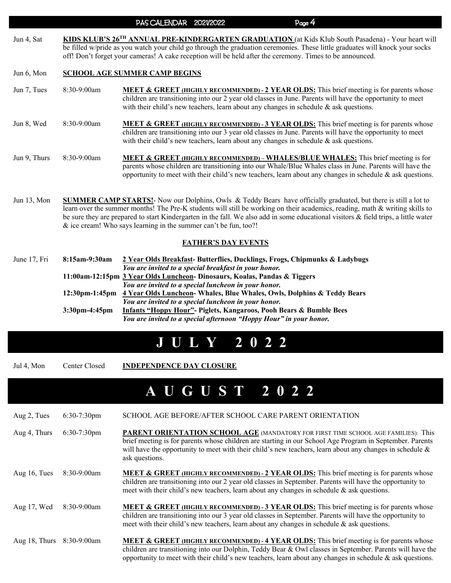PAS CALENDAR 2021/2022

| Jun 4, Sat | KIDS KLUB'S 26 <sup>TH</sup> ANNUAL PRE-KINDERGARTEN GRADUATION (at Kids Klub South Pasadena) - Your heart will              |
|------------|------------------------------------------------------------------------------------------------------------------------------|
|            | be filled w/pride as you watch your child go through the graduation ceremonies. These little graduates will knock your socks |
|            | off! Don't forget your cameras! A cake reception will be held after the ceremony. Times to be announced.                     |

#### Jun 6, Mon **SCHOOL AGE SUMMER CAMP BEGINS**

- Jun 7, Tues 8:30-9:00am **MEET & GREET (HIGHLY RECOMMENDED) 2 YEAR OLDS:** This brief meeting is for parents whose children are transitioning into our 2 year old classes in June. Parents will have the opportunity to meet with their child's new teachers, learn about any changes in schedule & ask questions. Jun 8, Wed 8:30-9:00am **MEET & GREET (HIGHLY RECOMMENDED) - 3 YEAR OLDS:** This brief meeting is for parents whose children are transitioning into our 3 year old classes in June. Parents will have the opportunity to meet with their child's new teachers, learn about any changes in schedule & ask questions. Jun 9, Thurs 8:30-9:00am **MEET & GREET (HIGHLY RECOMMENDED) – WHALES/BLUE WHALES:** This brief meeting is for parents whose children are transitioning into our Whale/Blue Whales class in June. Parents will have the opportunity to meet with their child's new teachers, learn about any changes in schedule  $\&$  ask questions.
- Jun 13, Mon **SUMMER CAMP STARTS!** Now our Dolphins, Owls & Teddy Bears have officially graduated, but there is still a lot to learn over the summer months! The Pre-K students will still be working on their academics, reading, math & writing skills to be sure they are prepared to start Kindergarten in the fall. We also add in some educational visitors & field trips, a little water & ice cream! Who says learning in the summer can't be fun, too?!

#### **FATHER'S DAY EVENTS**

| June 17, Fri | 8:15am-9:30am    | 2 Year Olds Breakfast-Butterflies, Ducklings, Frogs, Chipmunks & Ladybugs<br>You are invited to a special breakfast in your honor. |
|--------------|------------------|------------------------------------------------------------------------------------------------------------------------------------|
|              |                  | 11:00am-12:15pm 3 Year Olds Luncheon- Dinosaurs, Koalas, Pandas & Tiggers                                                          |
|              |                  | You are invited to a special luncheon in your honor.                                                                               |
|              |                  | 12:30pm-1:45pm 4 Year Olds Luncheon- Whales, Blue Whales, Owls, Dolphins & Teddy Bears                                             |
|              |                  | You are invited to a special luncheon in your honor.                                                                               |
|              | $3:30$ pm-4:45pm | <b>Infants "Hoppy Hour"- Piglets, Kangaroos, Pooh Bears &amp; Bumble Bees</b>                                                      |
|              |                  | You are invited to a special afternoon "Hoppy Hour" in your honor.                                                                 |

### **JULY 2022**

Jul 4, Mon Center Closed **INDEPENDENCE DAY CLOSURE** 

## **A U G U S T 2 0 2 2**

| Aug 2, Tues   | 6:30-7:30pm    | SCHOOL AGE BEFORE/AFTER SCHOOL CARE PARENT ORIENTATION                                                                                                                                                                                                                                                                                 |
|---------------|----------------|----------------------------------------------------------------------------------------------------------------------------------------------------------------------------------------------------------------------------------------------------------------------------------------------------------------------------------------|
| Aug 4, Thurs  | $6:30-7:30$ pm | <b>PARENT ORIENTATION SCHOOL AGE (MANDATORY FOR FIRST TIME SCHOOL AGE FAMILIES): This</b><br>brief meeting is for parents whose children are starting in our School Age Program in September. Parents<br>will have the opportunity to meet with their child's new teachers, learn about any changes in schedule $\&$<br>ask questions. |
| Aug 16, Tues  | $8:30-9:00am$  | <b>MEET &amp; GREET (HIGHLY RECOMMENDED) - 2 YEAR OLDS:</b> This brief meeting is for parents whose<br>children are transitioning into our 2 year old classes in September. Parents will have the opportunity to<br>meet with their child's new teachers, learn about any changes in schedule $\&$ ask questions.                      |
| Aug 17, Wed   | $8:30-9:00am$  | <b>MEET &amp; GREET (HIGHLY RECOMMENDED) - 3 YEAR OLDS:</b> This brief meeting is for parents whose<br>children are transitioning into our 3 year old classes in September. Parents will have the opportunity to<br>meet with their child's new teachers, learn about any changes in schedule $\&$ ask questions.                      |
| Aug 18, Thurs | 8:30-9:00am    | <b>MEET &amp; GREET</b> (HIGHLY RECOMMENDED) - 4 YEAR OLDS: This brief meeting is for parents whose<br>children are transitioning into our Dolphin, Teddy Bear & Owl classes in September. Parents will have the<br>opportunity to meet with their child's new teachers, learn about any changes in schedule $\&$ ask questions.       |